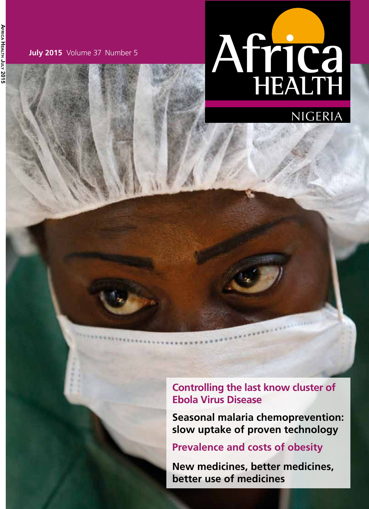Ағыса Неагтн Јогу 2015 **Africa Health July 2015**

**July 2015** Volume 37 Number 5

# Africa



**Controlling the last know cluster of Ebola Virus Disease**

**Provincial Contract** 

**Seasonal malaria chemoprevention: slow uptake of proven technology**

**Prevalence and costs of obesity**

**New medicines, better medicines, better use of medicines**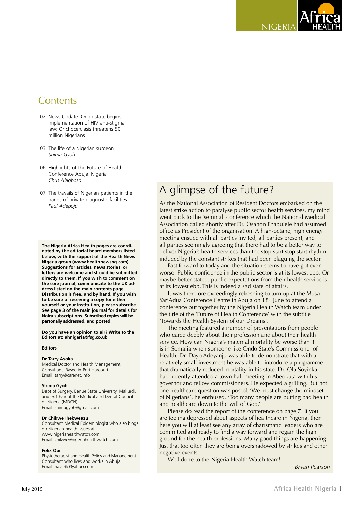# **Contents**

- 02 News Update: Ondo state begins implementation of HIV anti-stigma law; Onchocerciasis threatens 50 million Nigerians
- 03 The life of a Nigerian surgeon *Shima Gyoh*
- 06 Highlights of the Future of Health Conference Abuja, Nigeria *Chris Alagboso*
- 07 The travails of Nigerian patients in the hands of private diagnostic facilities *Paul Adepoju*

**The Nigeria Africa Health pages are coordinated by the editorial board members listed below, with the support of the Health News Nigeria group (www.healthnewsng.com). Suggestions for articles, news stories, or letters are welcome and should be submitted directly to them. If you wish to comment on the core journal, communicate to the UK address listed on the main contents page. Distribution is free, and by hand. If you wish to be sure of receiving a copy for either yourself or your institution, please subscribe. See page 3 of the main journal for details for Naira subscriptions. Subscribed copies will be personally addressed, and posted.** 

**Do you have an opinion to air? Write to the Editors at: ahnigeria@fsg.co.uk**

### **Editors**

### **Dr Tarry Asoka**

Medical Doctor and Health Management Consultant. Based in Port Harcourt Email: tarry@carenet.info

#### **Shima Gyoh**

Dept of Surgery, Benue State University, Makurdi, and ex Chair of the Medical and Dental Council of Nigeria (MDCN). Email: shimagyoh@gmail.com

### **Dr Chikwe Ihekweazu**

Consultant Medical Epidemiologist who also blogs on Nigerian health issues at www.nigeriahealthwatch.com Email: chikwe@nigeriahealthwatch.com

### **Felix Obi**

Physiotherapist and Health Policy and Management Consultant who lives and works in Abuja Email: halal3k@yahoo.com *Bryan Pearson*

# A glimpse of the future?

As the National Association of Resident Doctors embarked on the latest strike action to paralyse public sector health services, my mind went back to the 'seminal' conference which the National Medical Association called shortly after Dr. Osahon Enabulele had assumed office as President of the organisation. A high-octane, high energy meeting ensued with all parties invited, all parties present, and all parties seemingly agreeing that there had to be a better way to deliver Nigeria's health services than the stop start stop start rhythm induced by the constant strikes that had been plaguing the sector.

nigeria

Fast forward to today and the situation seems to have got even worse. Public confidence in the public sector is at its lowest ebb. Or maybe better stated, public expectations from their health service is at its lowest ebb. This is indeed a sad state of affairs.

It was therefore exceedingly refreshing to turn up at the Musa Yar'Adua Conference Centre in Abuja on 18<sup>th</sup> June to attend a conference put together by the Nigeria Health Watch team under the title of the 'Future of Health Conference' with the subtitle 'Towards the Health System of our Dreams'.

The meeting featured a number of presentations from people who cared deeply about their profession and about their health service. How can Nigeria's maternal mortality be worse than it is in Somalia when someone like Ondo State's Commissioner of Health, Dr. Dayo Adeyanju was able to demonstrate that with a relatively small investment he was able to introduce a programme that dramatically reduced mortality in his state. Dr. Ola Soyinka had recently attended a town hall meeting in Abeokuta with his governor and fellow commissioners. He expected a grilling. But not one healthcare question was posed. 'We must change the mindset of Nigerians', he enthused. 'Too many people are putting bad health and healthcare down to the will of God.'

Please do read the report of the conference on page 7. If you are feeling depressed about aspects of healthcare in Nigeria, then here you will at least see any array of charismatic leaders who are committed and ready to find a way forward and regain the high ground for the health professions. Many good things are happening. Just that too often they are being overshadowed by strikes and other negative events.

Well done to the Nigeria Health Watch team!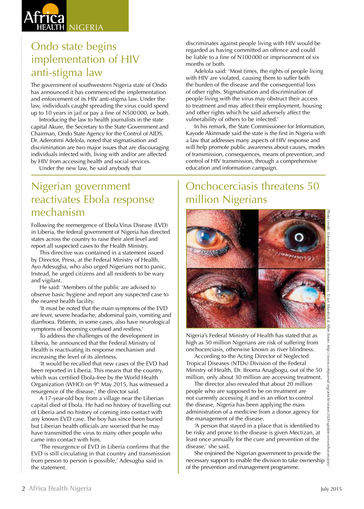

# Ondo state begins implementation of HIV anti-stigma law

The government of southwestern Nigeria state of Ondo has announced it has commenced the implementation and enforcement of its HIV anti-stigma law. Under the law, individuals caught spreading the virus could spend up to 10 years in jail or pay a fine of N500 000, or both.

Introducing the law to health journalists in the state capital Akure, the Secretary to the State Government and Chairman, Ondo State Agency for the Control of AIDS, Dr. Aderotimi Adelola, noted that stigmatisation and discrimination are two major issues that are discouraging individuals infected with, living with and/or are affected by HIV from accessing health and social services.

Under the new law, he said anybody that

# Nigerian government reactivates Ebola response mechanism

Following the reemergence of Ebola Virus Disease (EVD) in Liberia, the federal government of Nigeria has directed states across the country to raise their alert level and report all suspected cases to the Health Ministry.

This directive was contained in a statement issued by Director, Press, at the Federal Ministry of Health, Ayo Adesugba, who also urged Nigerians not to panic. Instead, he urged citizens and all residents to be wary and vigilant.

He said: 'Members of the public are advised to observe basic hygiene and report any suspected case to the nearest health facility.

'It must be noted that the main symptoms of the EVD are fever, severe headache, abdominal pain, vomiting and diarrhoea. Patients, in some cases, also have neurological symptoms of becoming confused and restless.'

To address the challenges of the development in Liberia, he announced that the Federal Ministry of Health is reactivating its response mechanism and increasing the level of its alertness.

'It would be recalled that new cases of the EVD had been reported in Liberia. This means that the country, which was certified Ebola-free by the World Health Organization (WHO) on 9<sup>th</sup> May 2015, has witnessed a resurgence of the disease,' the director said.

A 17-year-old boy from a village near the Liberian capital died of Ebola. He had no history of travelling out of Liberia and no history of coming into contact with any known EVD case. The boy has since been buried but Liberian health officials are worried that he may have transmitted the virus to many other people who came into contact with him.

'The resurgence of EVD in Liberia confirms that the EVD is still circulating in that country and transmission from person to person is possible,' Adesugba said in the statement.

discriminates against people living with HIV would be regarded as having committed an offence and could be liable to a fine of N100 000 or imprisonment of six months or both.

Adelola said: 'Most times, the rights of people living with HIV are violated, causing them to suffer both the burden of the disease and the consequential loss of other rights. Stigmatisation and discrimination of people living with the virus may obstruct their access to treatment and may affect their employment, housing and other rights which he said adversely affect the vulnerability of others to be infected.'

In his remark, the State Commissioner for Information, Kayode Akinmade said the state is the first in Nigeria with a law that addresses many aspects of HIV response and will help promote public awareness about causes, modes of transmission, consequences, means of prevention, and control of HIV transmission, through a comprehensive education and information campaign.

# Onchocerciasis threatens 50 million Nigerians



Nigeria's Federal Ministry of Health has stated that as high as 50 million Nigerians are risk of suffering from onchocerciasis, otherwise known as river blindness.

According to the Acting Director of Neglected Tropical Diseases (NTDs) Division of the Federal Ministry of Health, Dr. Ifeoma Anagbogu, out of the 50 million, only about 30 million are accessing treatment.

The director also revealed that about 20 million people who are supposed to be on treatment are not currently accessing it and in an effort to control the disease, Nigeria has been applying the mass administration of a medicine from a donor agency for the management of the disease.

'A person that stayed in a place that is identified to be risky and prone to the disease is given Mectizan, at least once annually for the cure and prevention of the disease,' she said.

She enjoined the Nigerian government to provide the necessary support to enable the division to take ownership of the prevention and management programme.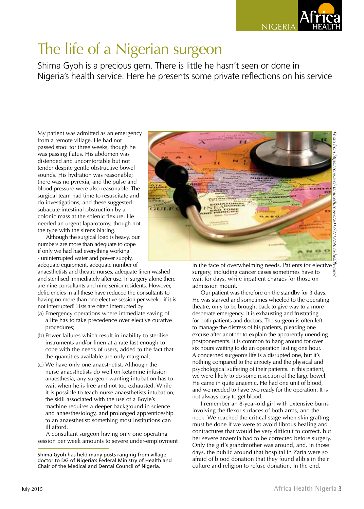

# The life of a Nigerian surgeon

Shima Gyoh is a precious gem. There is little he hasn't seen or done in Nigeria's health service. Here he presents some private reflections on his service

My patient was admitted as an emergency from a remote village. He had not passed stool for three weeks, though he was passing flatus. His abdomen was distended and uncomfortable but not tender despite gentle obstructive bowel sounds. His hydration was reasonable; there was no pyrexia, and the pulse and blood pressure were also reasonable. The surgical team had time to resuscitate and do investigations, and these suggested subacute intestinal obstruction by a colonic mass at the splenic flexure. He needed an urgent laparotomy, though not the type with the sirens blaring.

Although the surgical load is heavy, our numbers are more than adequate to cope if only we had had everything working - uninterrupted water and power supply, adequate equipment, adequate number of

anaesthetists and theatre nurses, adequate linen washed and sterilised immediately after use. In surgery alone there are nine consultants and nine senior residents. However, deficiencies in all these have reduced the consultants to having no more than one elective session per week - if it is not interrupted! Lists are often interrupted by:

- (a) Emergency operations where immediate saving of a life has to take precedence over elective curative procedures;
- (b) Power failures which result in inability to sterilise instruments and/or linen at a rate fast enough to cope with the needs of users, added to the fact that the quantities available are only marginal;
- (c) We have only one anaesthetist. Although the nurse anaesthetists do well on ketamine infusion anaesthesia, any surgeon wanting intubation has to wait when he is free and not too exhausted. While it is possible to teach nurse anaesthetists intubation, the skill associated with the use of a Boyle's machine requires a deeper background in science and anaesthesiology, and prolonged apprenticeship to an anaesthetist: something most institutions can ill afford.

A consultant surgeon having only one operating session per week amounts to severe under-employment



in the face of overwhelming needs. Patients for elective surgery, including cancer cases sometimes have to wait for days, while inpatient charges for those on admission mount.

Our patient was therefore on the standby for 3 days. He was starved and sometimes wheeled to the operating theatre, only to be brought back to give way to a more desperate emergency. It is exhausting and frustrating for both patients and doctors. The surgeon is often left to manage the distress of his patients, pleading one excuse after another to explain the apparently unending postponements. It is common to hang around for over six hours waiting to do an operation lasting one hour. A concerned surgeon's life is a disrupted one, but it's nothing compared to the anxiety and the physical and psychological suffering of their patients. In this patient, we were likely to do some resection of the large bowel. He came in quite anaemic. He had one unit of blood, and we needed to have two ready for the operation. It is not always easy to get blood.

I remember an 8-year-old girl with extensive burns involving the flexor surfaces of both arms, and the neck. We reached the critical stage when skin grafting must be done if we were to avoid fibrous healing and contractures that would be very difficult to correct, but her severe anaemia had to be corrected before surgery. Only the girl's grandmother was around, and, in those days, the public around that hospital in Zaria were so afraid of blood donation that they found alibis in their culture and religion to refuse donation. In the end,

news.

Shima Gyoh has held many posts ranging from village doctor to DG of Nigeria's Federal Ministry of Health and Chair of the Medical and Dental Council of Nigeria.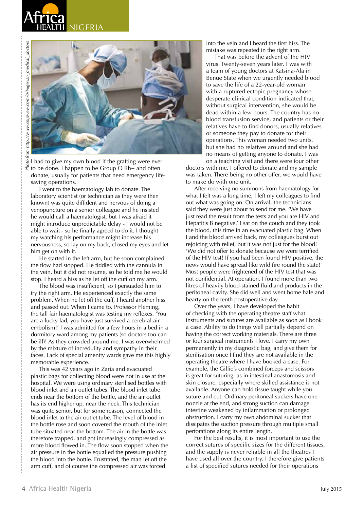



I had to give my own blood if the grafting were ever  $\tilde{\xi}$  to be done. I happen to be Group O Rh+ and often donate, usually for patients that need emergency lifesaving operations.

I went to the haematology lab to donate. The laboratory scientist (or technician as they were then known) was quite diffident and nervous of doing a venopuncture on a senior colleague and he insisted he would call a haematologist, but I was afraid it might introduce unpredictable delay - I would not be able to wait - so he finally agreed to do it. I thought my watching his performance might increase his nervousness, so lay on my back, closed my eyes and let him get on with it.

He started in the left arm, but he soon complained the flow had stopped. He fiddled with the cannula in the vein, but it did not resume, so he told me he would stop. I heard a hiss as he let off the cuff on my arm.

The blood was insufficient, so I persuaded him to try the right arm. He experienced exactly the same problem. When he let off the cuff, I heard another hiss and passed out. When I came to, Professor Fleming, the tall fair haematologist was testing my reflexes. 'You are a lucky lad, you have just survived a cerebral air embolism!' I was admitted for a few hours in a bed in a dormitory ward among my patients (so doctors too can be ill)! As they crowded around me, I was overwhelmed by the mixture of incredulity and sympathy in their faces. Lack of special amenity wards gave me this highly memorable experience.

This was 42 years ago in Zaria and evacuated plastic bags for collecting blood were not in use at the hospital. We were using ordinary sterilised bottles with blood inlet and air outlet tubes. The blood inlet tube ends near the bottom of the bottle, and the air outlet has its end higher up, near the neck. This technician was quite senior, but for some reason, connected the blood inlet to the air outlet tube. The level of blood in the bottle rose and soon covered the mouth of the inlet tube situated near the bottom. The air in the bottle was therefore trapped, and got increasingly compressed as more blood flowed in. The flow soon stopped when the air pressure in the bottle equalled the pressure pushing the blood into the bottle. Frustrated, the man let off the arm cuff, and of course the compressed air was forced

into the vein and I heard the first hiss. The mistake was repeated in the right arm.

That was before the advent of the HIV virus. Twenty-seven years later, I was with a team of young doctors at Katsina-Ala in Benue State when we urgently needed blood to save the life of a 22-year-old woman with a ruptured ectopic pregnancy whose desperate clinical condition indicated that, without surgical intervention, she would be dead within a few hours. The country has no blood transfusion service, and patients or their relatives have to find donors, usually relatives or someone they pay to donate for their operations. This woman needed two units, but she had no relatives around and she had no means of getting anyone to donate. I was

on a teaching visit and there were four other doctors with me. I offered to donate and my sample was taken. There being no other offer, we would have to make do with one unit.

After receiving no summons from haematology for what I felt was a long time, I left my colleagues to find out what was going on. On arrival, the technicians said they were just about to send for me. 'We have just read the result from the tests and you are HIV and Hepatitis B negative.' I sat on the couch and they took the blood, this time in an evacuated plastic bag. When I and the blood arrived back, my colleagues burst out rejoicing with relief, but it was not just for the blood! 'We did not offer to donate because we were terrified of the HIV test! If you had been found HIV positive, the news would have spread like wild fire round the state!' Most people were frightened of the HIV test that was not confidential. At operation, I found more than two litres of heavily blood-stained fluid and products in the peritoneal cavity. She did well and went home hale and hearty on the tenth postoperative day.

Over the years, I have developed the habit of checking with the operating theatre staff what instruments and sutures are available as soon as I book a case. Ability to do things well partially depend on having the correct working materials. There are three or four surgical instruments I love. I carry my own permanently in my diagnostic bag, and give them for sterilisation once I find they are not available in the operating theatre where I have booked a case. For example, the Gillie's combined forceps and scissors is great for suturing, as in intestinal anastomosis and skin closure, especially where skilled assistance is not available. Anyone can hold tissue taught while you suture and cut. Ordinary peritoneal suckers have one nozzle at the end, and strong suction can damage intestine weakened by inflammation or prolonged obstruction. I carry my own abdominal sucker that dissipates the suction pressure through multiple small perforations along its entire length.

For the best results, it is most important to use the correct sutures of specific sizes for the different tissues, and the supply is never reliable in all the theatres I have used all over the country. I therefore give patients a list of specified sutures needed for their operations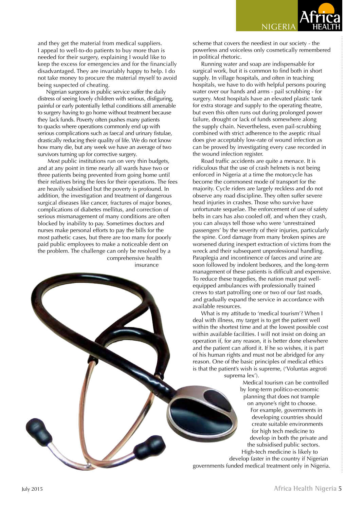NIGERIA

and they get the material from medical suppliers. I appeal to well-to-do patients to buy more than is needed for their surgery, explaining I would like to keep the excess for emergencies and for the financially disadvantaged. They are invariably happy to help. I do not take money to procure the material myself to avoid being suspected of cheating.

Nigerian surgeons in public service suffer the daily distress of seeing lovely children with serious, disfiguring, painful or early potentially lethal conditions still amenable to surgery having to go home without treatment because they lack funds. Poverty often pushes many patients to quacks where operations commonly end up with serious complications such as faecal and urinary fistulae, drastically reducing their quality of life. We do not know how many die, but any week we have an average of two survivors turning up for corrective surgery.

 Most public institutions run on very thin budgets, and at any point in time nearly all wards have two or three patients being prevented from going home until their relatives bring the fees for their operations. The fees are heavily subsidised but the poverty is profound. In addition, the investigation and treatment of dangerous surgical diseases like cancer, fractures of major bones, complications of diabetes mellitus, and correction of serious mismanagement of many conditions are often blocked by inability to pay. Sometimes doctors and nurses make personal efforts to pay the bills for the most pathetic cases, but there are too many for poorly paid public employees to make a noticeable dent on the problem. The challenge can only be resolved by a comprehensive health insurance

scheme that covers the neediest in our society - the powerless and voiceless only cosmetically remembered in political rhetoric.

Running water and soap are indispensable for surgical work, but it is common to find both in short supply. In village hospitals, and often in teaching hospitals, we have to do with helpful persons pouring water over our hands and arms - pail scrubbing - for surgery. Most hospitals have an elevated plastic tank for extra storage and supply to the operating theatre, but even this often runs out during prolonged power failure, drought or lack of funds somewhere along the supply chain. Nevertheless, even pail-scrubbing combined with strict adherence to the aseptic ritual does give acceptably low-rate of wound infection as can be proved by investigating every case recorded in the wound infection register.

Road traffic accidents are quite a menace. It is ridiculous that the use of crash helmets is not being enforced in Nigeria at a time the motorcycle has become the commonest mode of transport for the majority. Cycle riders are largely reckless and do not observe any road discipline. They often suffer severe head injuries in crashes. Those who survive have unfortunate sequelae. The enforcement of use of safety belts in cars has also cooled off, and when they crash, you can always tell those who were 'unrestrained passengers' by the severity of their injuries, particularly the spine. Cord damage from many broken spines are worsened during inexpert extraction of victims from the wreck and their subsequent unprofessional handling. Paraplegia and incontinence of faeces and urine are soon followed by indolent bedsores, and the long-term management of these patients is difficult and expensive. To reduce these tragedies, the nation must put wellequipped ambulances with professionally trained crews to start patrolling one or two of our fast roads, and gradually expand the service in accordance with available resources.

What is my attitude to 'medical tourism'? When I deal with illness, my target is to get the patient well within the shortest time and at the lowest possible cost within available facilities. I will not insist on doing an operation if, for any reason, it is better done elsewhere and the patient can afford it. If he so wishes, it is part of his human rights and must not be abridged for any reason. One of the basic principles of medical ethics is that the patient's wish is supreme, ('Voluntas aegroti

suprema lex').

Medical tourism can be controlled by long-term politico-economic planning that does not trample on anyone's right to choose. For example, governments in developing countries should create suitable environments for high tech medicine to develop in both the private and the subsidised public sectors. High-tech medicine is likely to

develop faster in the country if Nigerian governments funded medical treatment only in Nigeria.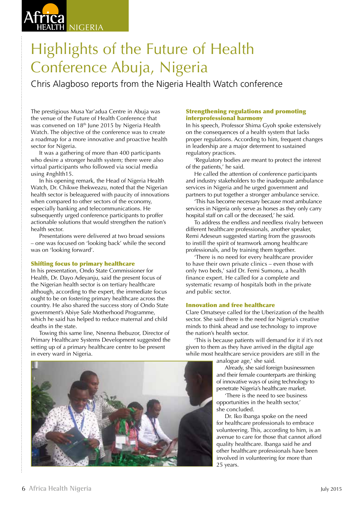# NIGERIA

# Highlights of the Future of Health Conference Abuja, Nigeria

Chris Alagboso reports from the Nigeria Health Watch conference

The prestigious Musa Yar'adua Centre in Abuja was the venue of the Future of Health Conference that was convened on 18<sup>th</sup> June 2015 by Nigeria Health Watch. The objective of the conference was to create a roadmap for a more innovative and proactive health sector for Nigeria.

It was a gathering of more than 400 participants who desire a stronger health system; there were also virtual participants who followed via social media using #nghlth15.

In his opening remark, the Head of Nigeria Health Watch, Dr. Chikwe Ihekweazu, noted that the Nigerian health sector is beleaguered with paucity of innovations when compared to other sectors of the economy, especially banking and telecommunications. He subsequently urged conference participants to proffer actionable solutions that would strengthen the nation's health sector.

Presentations were delivered at two broad sessions – one was focused on 'looking back' while the second was on 'looking forward'.

# Shifting focus to primary healthcare

In his presentation, Ondo State Commissioner for Health, Dr. Dayo Adeyanju, said the present focus of the Nigerian health sector is on tertiary healthcare although, according to the expert, the immediate focus ought to be on fostering primary healthcare across the country. He also shared the success story of Ondo State government's Abiye Safe Motherhood Programme, which he said has helped to reduce maternal and child deaths in the state.

Towing this same line, Nnenna Ihebuzor, Director of Primary Healthcare Systems Development suggested the setting up of a primary healthcare centre to be present in every ward in Nigeria.



# Strengthening regulations and promoting interprofessional harmony

In his speech, Professor Shima Gyoh spoke extensively on the consequences of a health system that lacks proper regulations. According to him, frequent changes in leadership are a major determent to sustained regulatory practices.

'Regulatory bodies are meant to protect the interest of the patients,' he said.

He called the attention of conference participants and industry stakeholders to the inadequate ambulance services in Nigeria and he urged government and partners to put together a stronger ambulance service.

'This has become necessary because most ambulance services in Nigeria only serve as horses as they only carry hospital staff on call or the deceased,' he said.

To address the endless and needless rivalry between different healthcare professionals, another speaker, Remi Adeseun suggested starting from the grassroots to instill the spirit of teamwork among healthcare professionals, and by training them together.

'There is no need for every healthcare provider to have their own private clinics – even those with only two beds,' said Dr. Femi Sumonu, a health finance expert. He called for a complete and systematic revamp of hospitals both in the private and public sector.

## Innovation and free healthcare

Clare Omatseye called for the Uberization of the health sector. She said there is the need for Nigeria's creative minds to think ahead and use technology to improve the nation's health sector.

'This is because patients will demand for it if it's not given to them as they have arrived in the digital age while most healthcare service providers are still in the

analogue age,' she said.

Already, she said foreign businessmen and their female counterparts are thinking of innovative ways of using technology to penetrate Nigeria's healthcare market.

'There is the need to see business opportunities in the health sector,' she concluded.

Dr. Iko Ibanga spoke on the need for healthcare professionals to embrace volunteering. This, according to him, is an avenue to care for those that cannot afford quality healthcare. Ibanga said he and other healthcare professionals have been involved in volunteering for more than 25 years.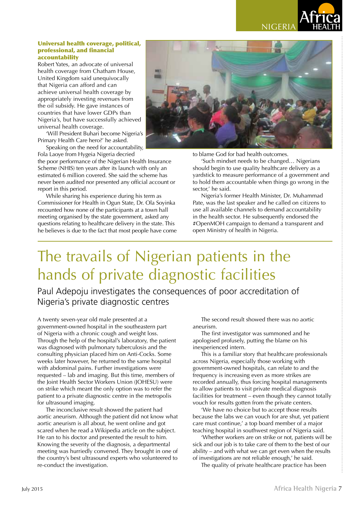

### Universal health coverage, political, professional, and financial accountability

Robert Yates, an advocate of universal health coverage from Chatham House, United Kingdom said unequivocally that Nigeria can afford and can achieve universal health coverage by appropriately investing revenues from the oil subsidy. He gave instances of countries that have lower GDPs than Nigeria's, but have successfully achieved universal health coverage.

'Will President Buhari become Nigeria's Primary Health Care hero?' he asked.

Speaking on the need for accountability, Fola Laoye from Hygeia Nigeria decried

the poor performance of the Nigerian Health Insurance Scheme (NHIS) ten years after its launch with only an estimated 6 million covered. She said the scheme has never been audited nor presented any official account or report in this period.

While sharing his experience during his term as Commissioner for Health in Ogun State, Dr. Ola Soyinka recounted how none of the participants at a town hall meeting organised by the state government, asked any questions relating to healthcare delivery in the state. This he believes is due to the fact that most people have come



to blame God for bad health outcomes.

'Such mindset needs to be changed… Nigerians should begin to use quality healthcare delivery as a yardstick to measure performance of a government and to hold them accountable when things go wrong in the sector,' he said.

Nigeria's former Health Minister, Dr. Muhammad Pate, was the last speaker and he called on citizens to use all available channels to demand accountability in the health sector. He subsequently endorsed the #OpenMOH campaign to demand a transparent and open Ministry of health in Nigeria.

# The travails of Nigerian patients in the hands of private diagnostic facilities

Paul Adepoju investigates the consequences of poor accreditation of Nigeria's private diagnostic centres

A twenty seven-year old male presented at a government-owned hospital in the southeastern part of Nigeria with a chronic cough and weight loss. Through the help of the hospital's laboratory, the patient was diagnosed with pulmonary tuberculosis and the consulting physician placed him on Anti-Cocks. Some weeks later however, he returned to the same hospital with abdominal pains. Further investigations were requested – lab and imaging. But this time, members of the Joint Health Sector Workers Union (JOHESU) were on strike which meant the only option was to refer the patient to a private diagnostic centre in the metropolis for ultrasound imaging.

The inconclusive result showed the patient had aortic aneurism. Although the patient did not know what aortic aneurism is all about, he went online and got scared when he read a Wikipedia article on the subject. He ran to his doctor and presented the result to him. Knowing the severity of the diagnosis, a departmental meeting was hurriedly convened. They brought in one of the country's best ultrasound experts who volunteered to re-conduct the investigation.

The second result showed there was no aortic aneurism.

The first investigator was summoned and he apologised profusely, putting the blame on his inexperienced intern.

This is a familiar story that healthcare professionals across Nigeria, especially those working with government-owned hospitals, can relate to and the frequency is increasing even as more strikes are recorded annually, thus forcing hospital managements to allow patients to visit private medical diagnosis facilities for treatment – even though they cannot totally vouch for results gotten from the private centers.

'We have no choice but to accept those results because the labs we can vouch for are shut, yet patient care must continue,' a top board member of a major teaching hospital in southwest region of Nigeria said.

'Whether workers are on strike or not, patients will be sick and our job is to take care of them to the best of our ability – and with what we can get even when the results of investigations are not reliable enough,' he said.

The quality of private healthcare practice has been